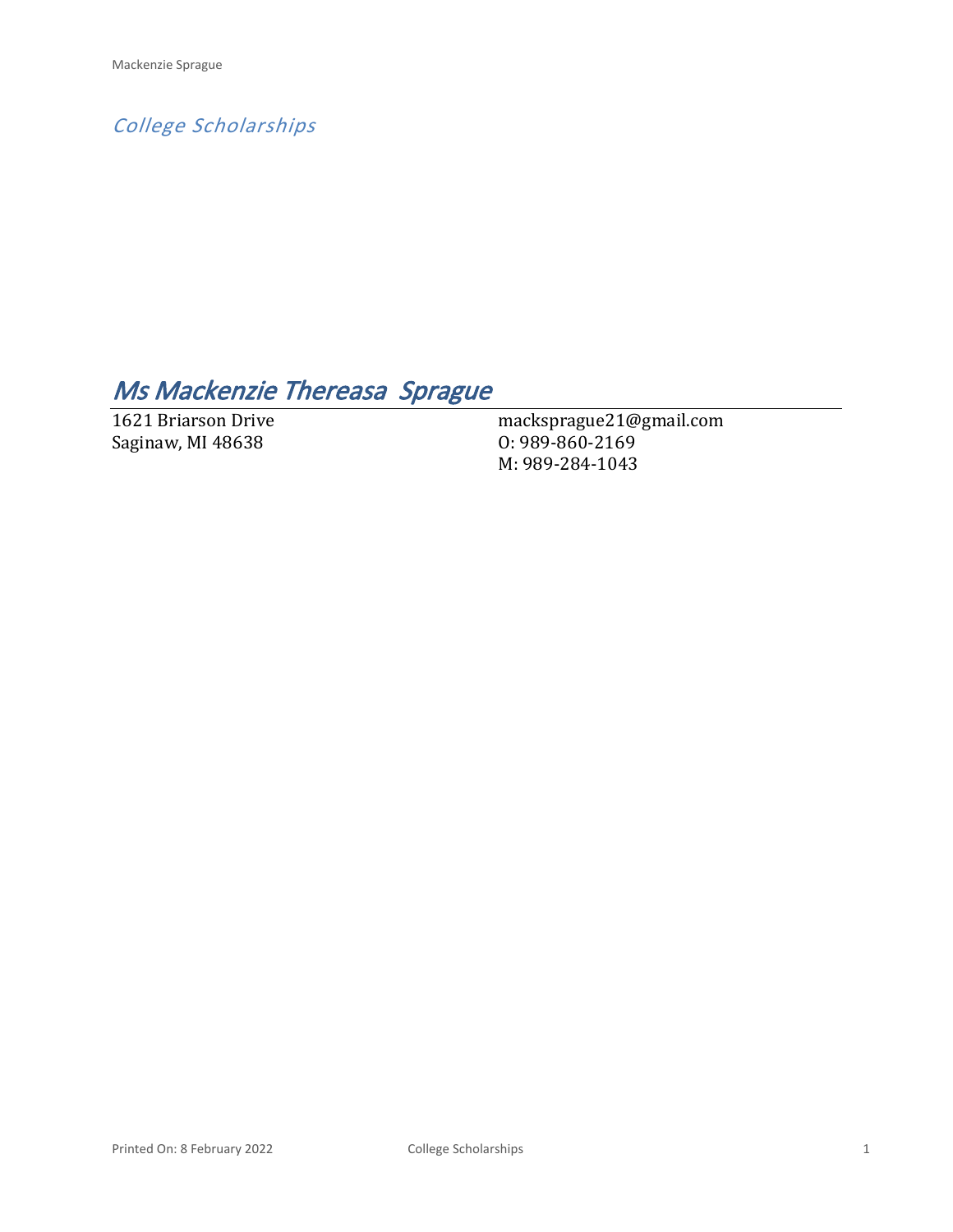*College Scholarships*

# *Ms Mackenzie Thereasa Sprague*

1621 Briarson Drive Saginaw, MI 48638

macksprague21@gmail.com O: 989-860-2169 M: 989-284-1043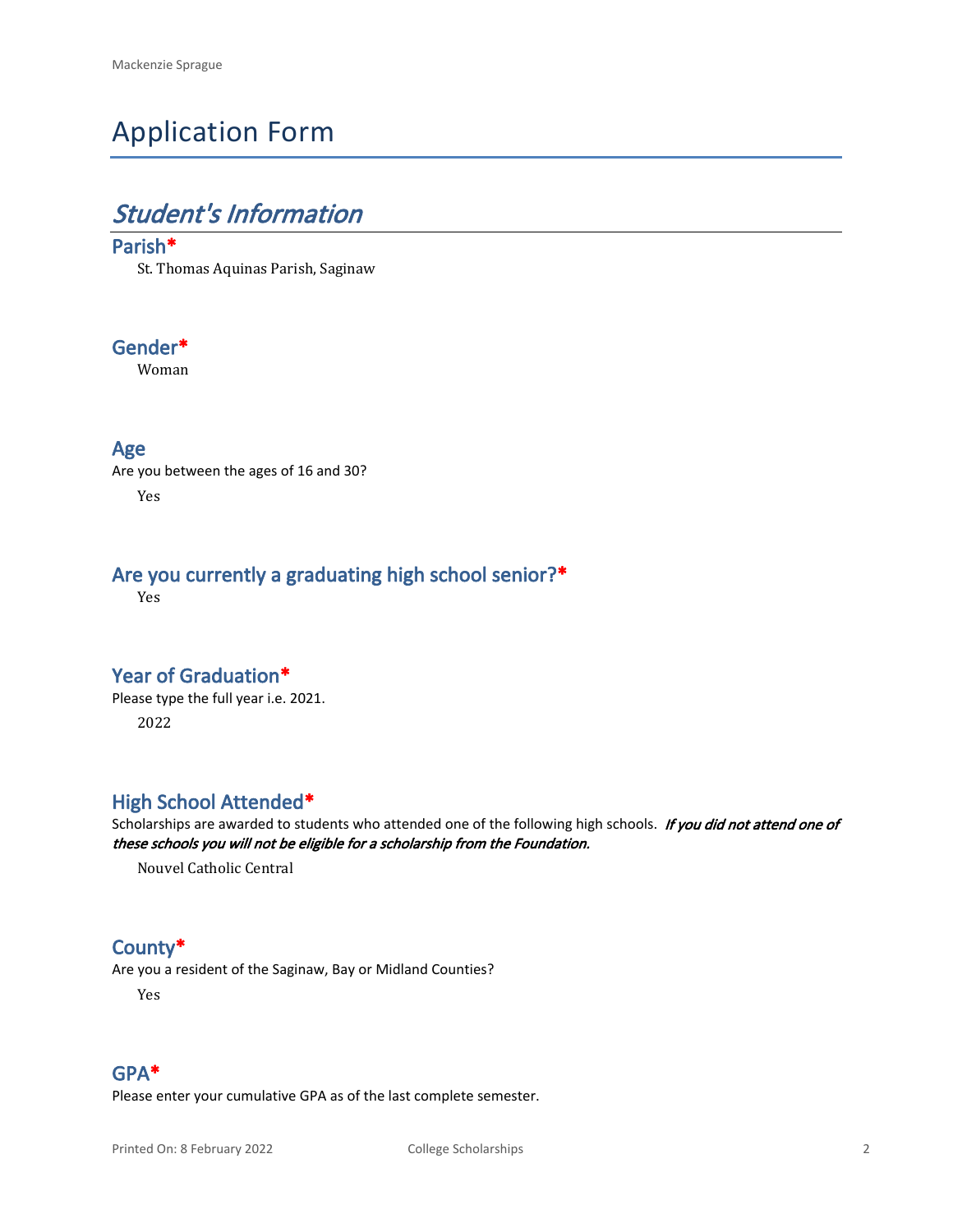# Application Form

# *Student's Information*

#### **Parish\***

St. Thomas Aquinas Parish, Saginaw

### **Gender\***

Woman

#### **Age**

Are you between the ages of 16 and 30? Yes

### **Are you currently a graduating high school senior?\***

Yes

### **Year of Graduation\***

Please type the full year i.e. 2021. 2022

### **High School Attended\***

Scholarships are awarded to students who attended one of the following high schools. *If you did not attend one of these schools you will not be eligible for a scholarship from the Foundation.*

Nouvel Catholic Central

### **County\***

Are you a resident of the Saginaw, Bay or Midland Counties?

Yes

### **GPA\***

Please enter your cumulative GPA as of the last complete semester.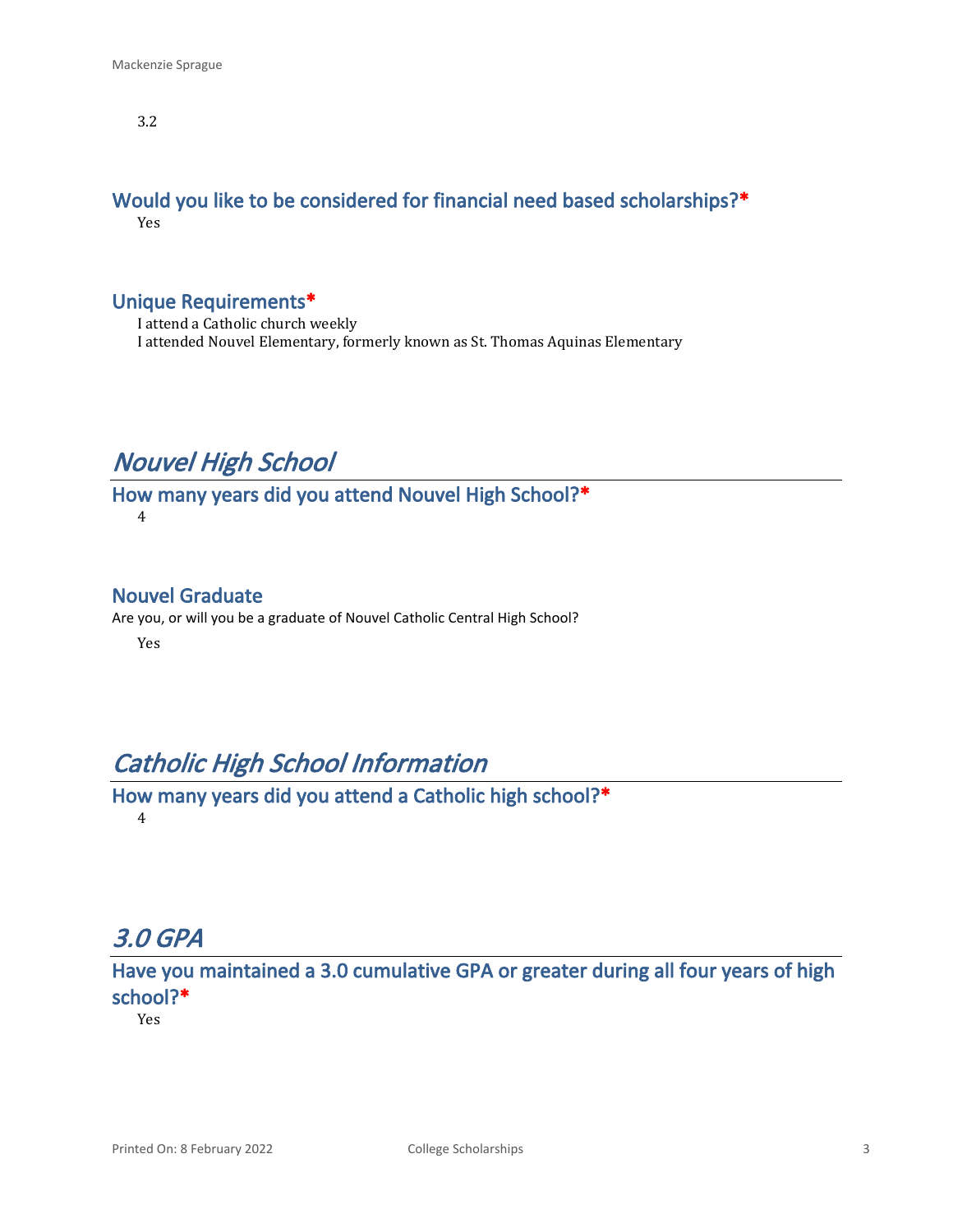3.2

#### **Would you like to be considered for financial need based scholarships?\*** Yes

### **Unique Requirements\***

I attend a Catholic church weekly I attended Nouvel Elementary, formerly known as St. Thomas Aquinas Elementary

## *Nouvel High School*

**How many years did you attend Nouvel High School?\*** 4

#### **Nouvel Graduate**

Are you, or will you be a graduate of Nouvel Catholic Central High School?

Yes

## *Catholic High School Information*

**How many years did you attend a Catholic high school?\*** 4

## *3.0 GPA*

**Have you maintained a 3.0 cumulative GPA or greater during all four years of high school?\***

Yes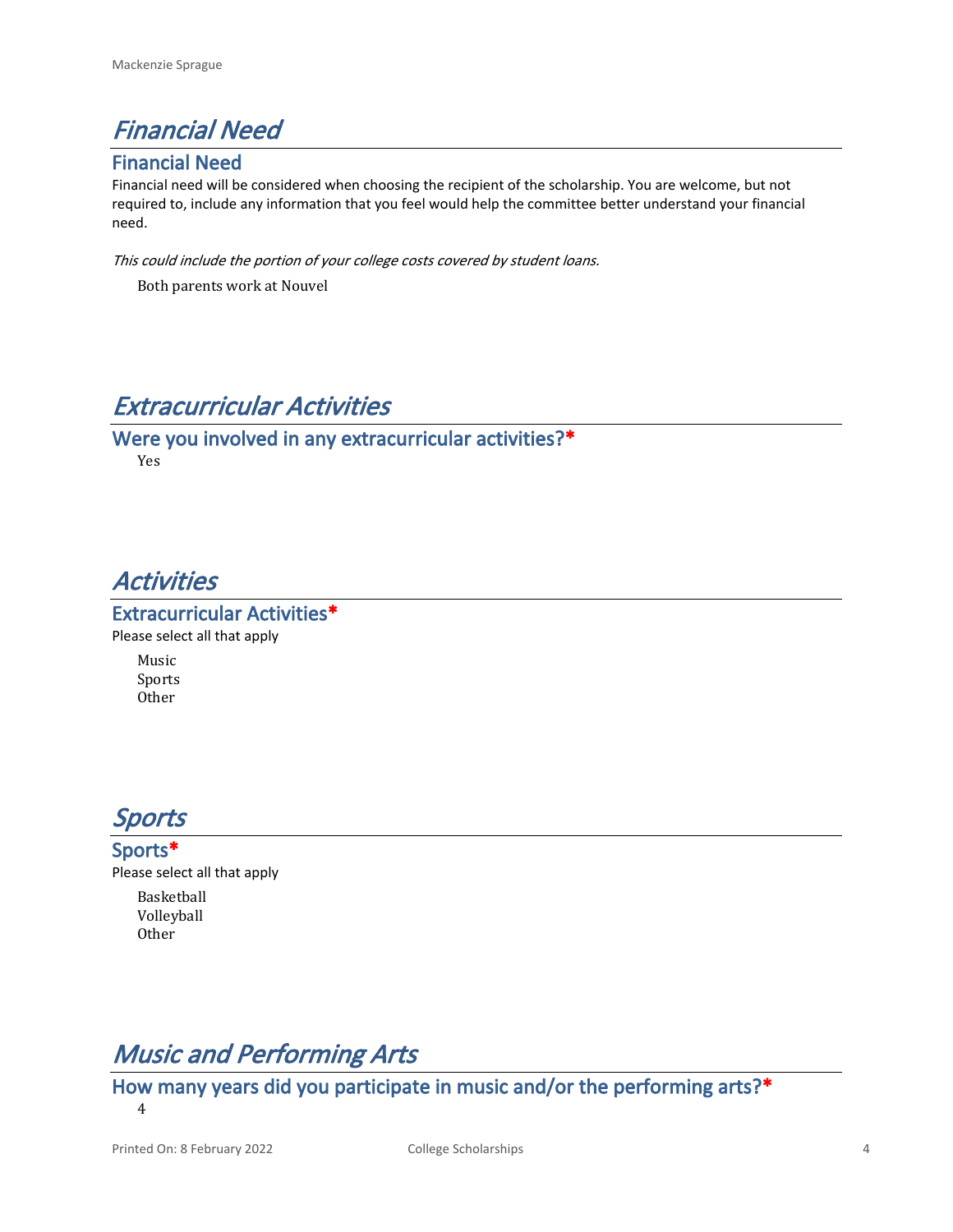

#### **Financial Need**

Financial need will be considered when choosing the recipient of the scholarship. You are welcome, but not required to, include any information that you feel would help the committee better understand your financial need.

*This could include the portion of your college costs covered by student loans.* 

Both parents work at Nouvel

## *Extracurricular Activities*

**Were you involved in any extracurricular activities?\*** Yes

## *Activities*

**Extracurricular Activities\*** Please select all that apply

> Music Sports Other

## *Sports*

**Sports\*** Please select all that apply

> Basketball Volleyball Other

## *Music and Performing Arts*

**How many years did you participate in music and/or the performing arts?\***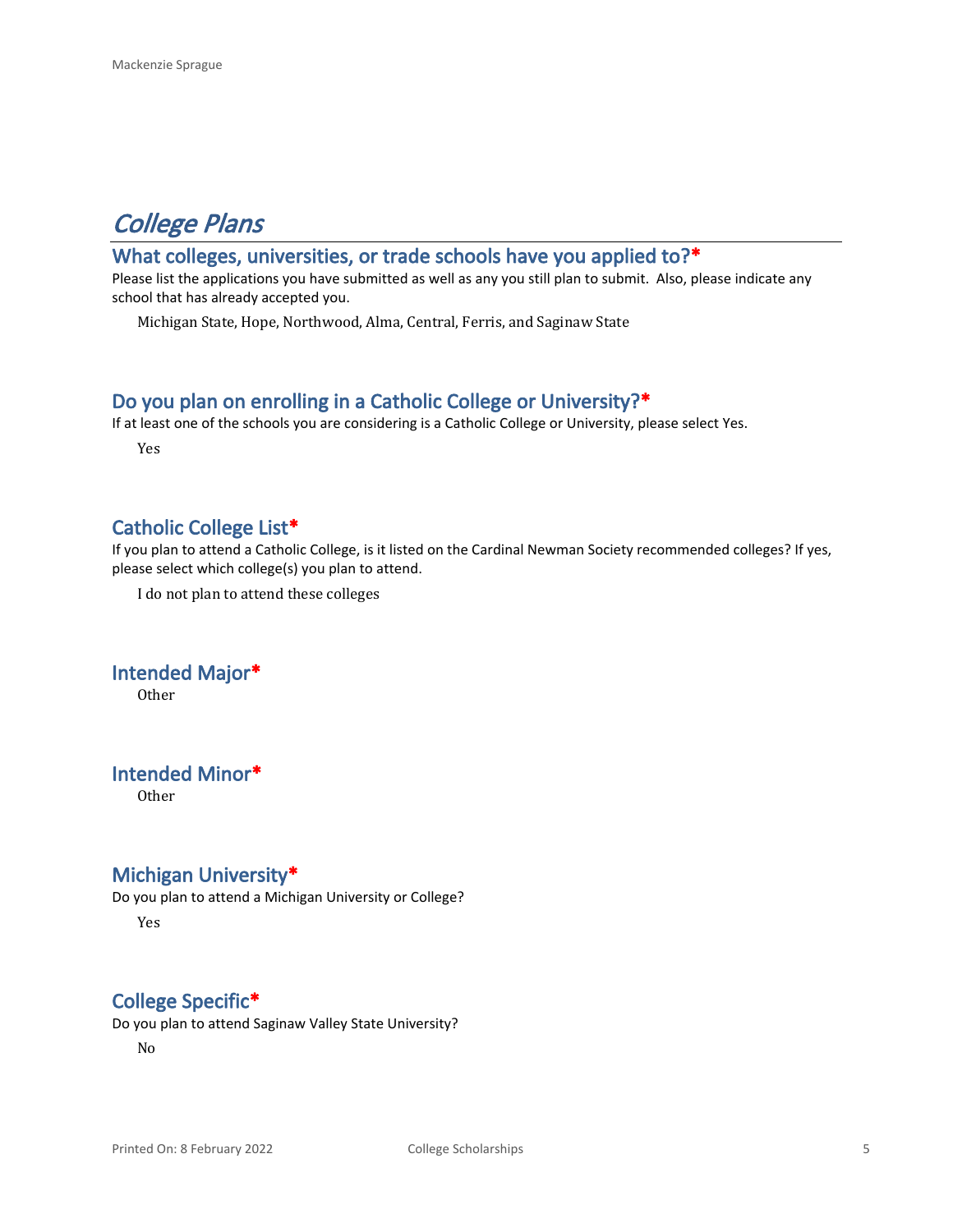# *College Plans*

### **What colleges, universities, or trade schools have you applied to?\***

Please list the applications you have submitted as well as any you still plan to submit. Also, please indicate any school that has already accepted you.

Michigan State, Hope, Northwood, Alma, Central, Ferris, and Saginaw State

#### **Do you plan on enrolling in a Catholic College or University?\***

If at least one of the schools you are considering is a Catholic College or University, please select Yes.

Yes

### **Catholic College List\***

If you plan to attend a Catholic College, is it listed on the Cardinal Newman Society recommended colleges? If yes, please select which college(s) you plan to attend.

I do not plan to attend these colleges

### **Intended Major\***

**Other** 

#### **Intended Minor\***

Other

#### **Michigan University\***

Do you plan to attend a Michigan University or College?

Yes

### **College Specific\***

Do you plan to attend Saginaw Valley State University?

No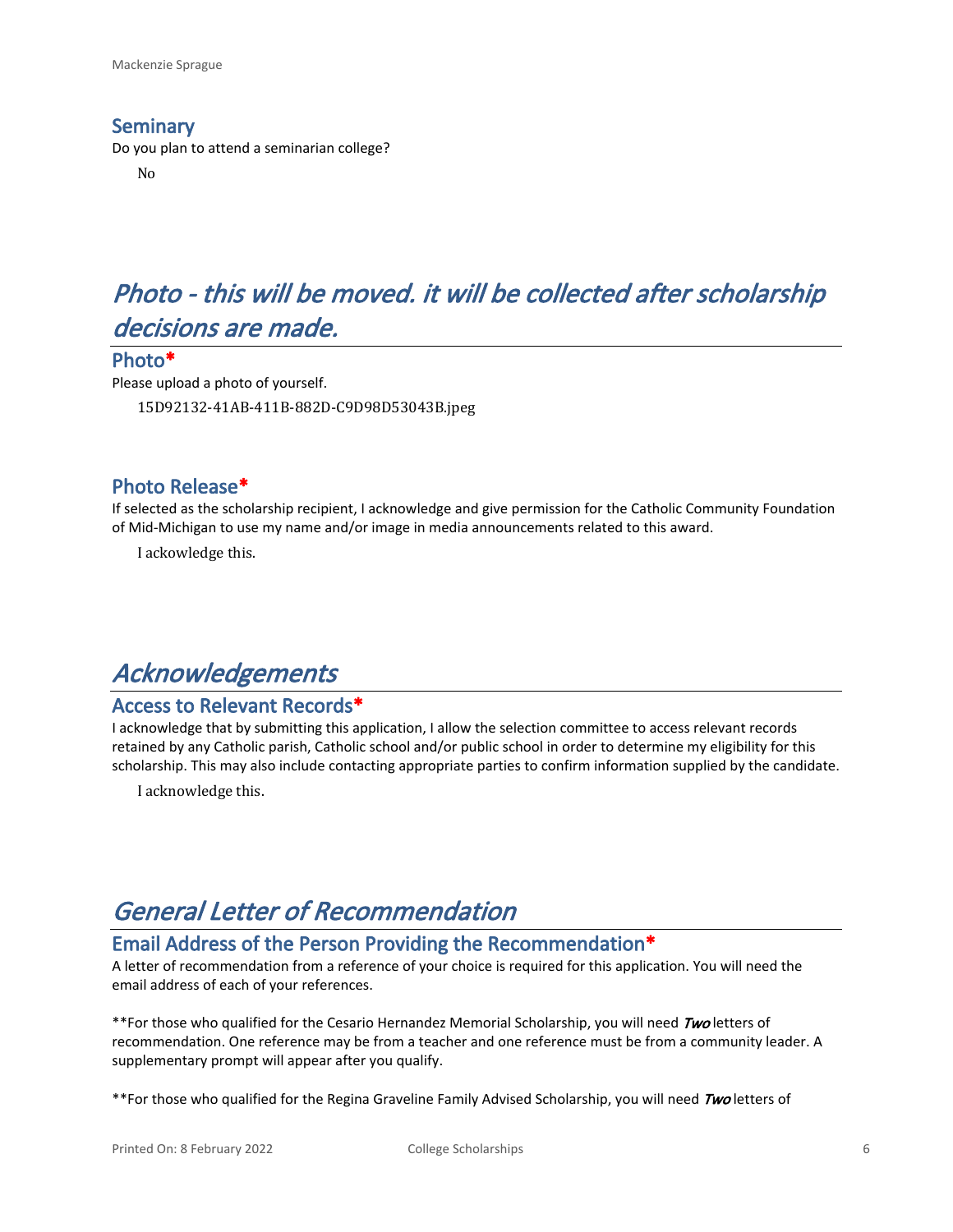#### **Seminary**

Do you plan to attend a seminarian college?

No

# *Photo - this will be moved. it will be collected after scholarship decisions are made.*

#### **Photo\***

Please upload a photo of yourself. 15D92132-41AB-411B-882D-C9D98D53043B.jpeg

#### **Photo Release\***

If selected as the scholarship recipient, I acknowledge and give permission for the Catholic Community Foundation of Mid-Michigan to use my name and/or image in media announcements related to this award.

I ackowledge this.

## *Acknowledgements*

#### **Access to Relevant Records\***

I acknowledge that by submitting this application, I allow the selection committee to access relevant records retained by any Catholic parish, Catholic school and/or public school in order to determine my eligibility for this scholarship. This may also include contacting appropriate parties to confirm information supplied by the candidate.

I acknowledge this.

## *General Letter of Recommendation*

### **Email Address of the Person Providing the Recommendation\***

A letter of recommendation from a reference of your choice is required for this application. You will need the email address of each of your references.

\*\*For those who qualified for the Cesario Hernandez Memorial Scholarship, you will need *Two* letters of recommendation. One reference may be from a teacher and one reference must be from a community leader. A supplementary prompt will appear after you qualify.

\*\*For those who qualified for the Regina Graveline Family Advised Scholarship, you will need *Two* letters of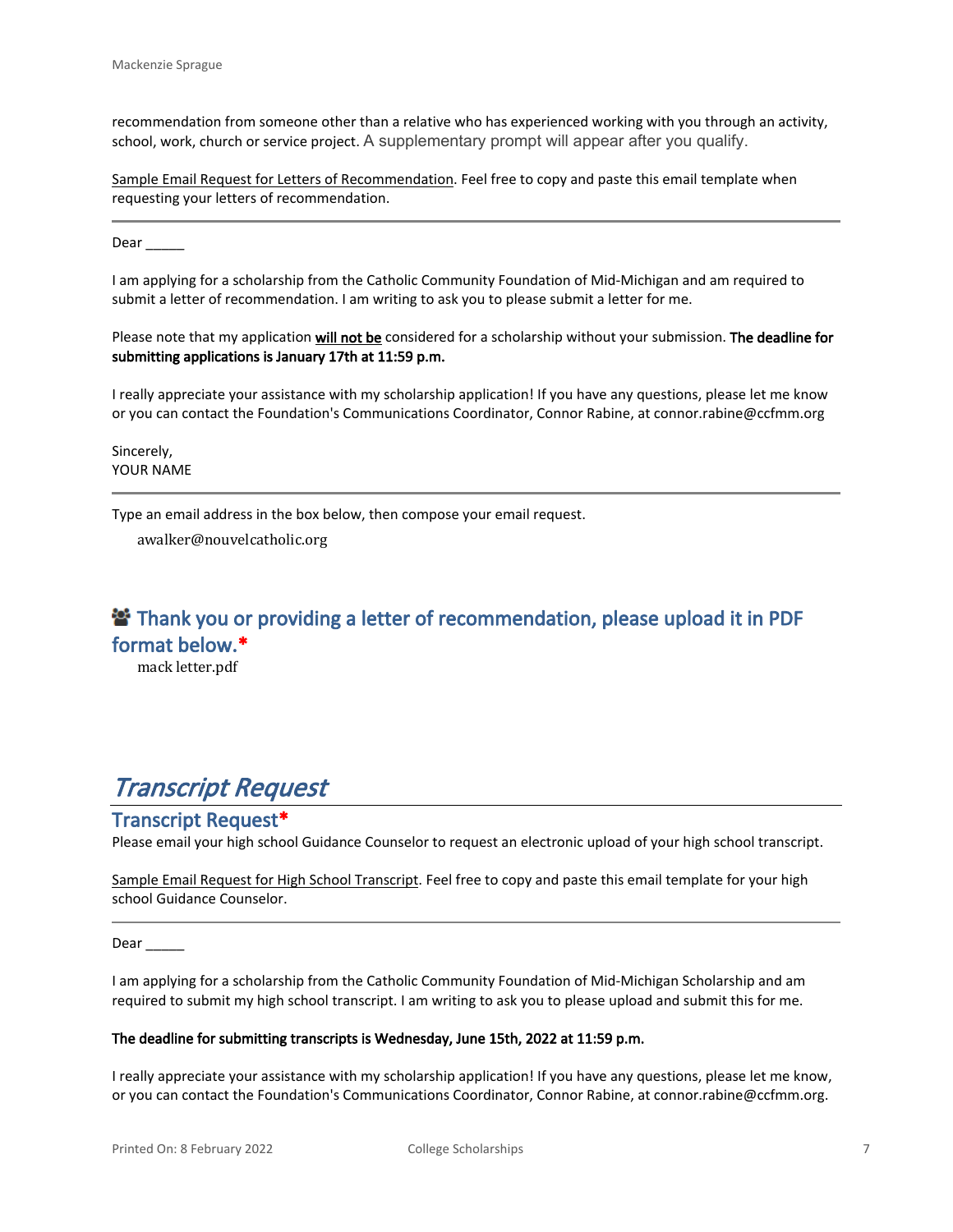recommendation from someone other than a relative who has experienced working with you through an activity, school, work, church or service project. A supplementary prompt will appear after you qualify.

Sample Email Request for Letters of Recommendation. Feel free to copy and paste this email template when requesting your letters of recommendation.

Dear  $\qquad$ 

I am applying for a scholarship from the Catholic Community Foundation of Mid-Michigan and am required to submit a letter of recommendation. I am writing to ask you to please submit a letter for me.

Please note that my application **will not be** considered for a scholarship without your submission. **The deadline for submitting applications is January 17th at 11:59 p.m.**

I really appreciate your assistance with my scholarship application! If you have any questions, please let me know or you can contact the Foundation's Communications Coordinator, Connor Rabine, at connor.rabine@ccfmm.org

Sincerely, YOUR NAME

Type an email address in the box below, then compose your email request.

awalker@nouvelcatholic.org

### **<sup>2</sup> Thank you or providing a letter of recommendation, please upload it in PDF format below.\***

mack letter.pdf

## *Transcript Request*

#### **Transcript Request\***

Please email your high school Guidance Counselor to request an electronic upload of your high school transcript.

Sample Email Request for High School Transcript. Feel free to copy and paste this email template for your high school Guidance Counselor.

Dear \_

I am applying for a scholarship from the Catholic Community Foundation of Mid-Michigan Scholarship and am required to submit my high school transcript. I am writing to ask you to please upload and submit this for me.

#### **The deadline for submitting transcripts is Wednesday, June 15th, 2022 at 11:59 p.m.**

I really appreciate your assistance with my scholarship application! If you have any questions, please let me know, or you can contact the Foundation's Communications Coordinator, Connor Rabine, at connor.rabine@ccfmm.org.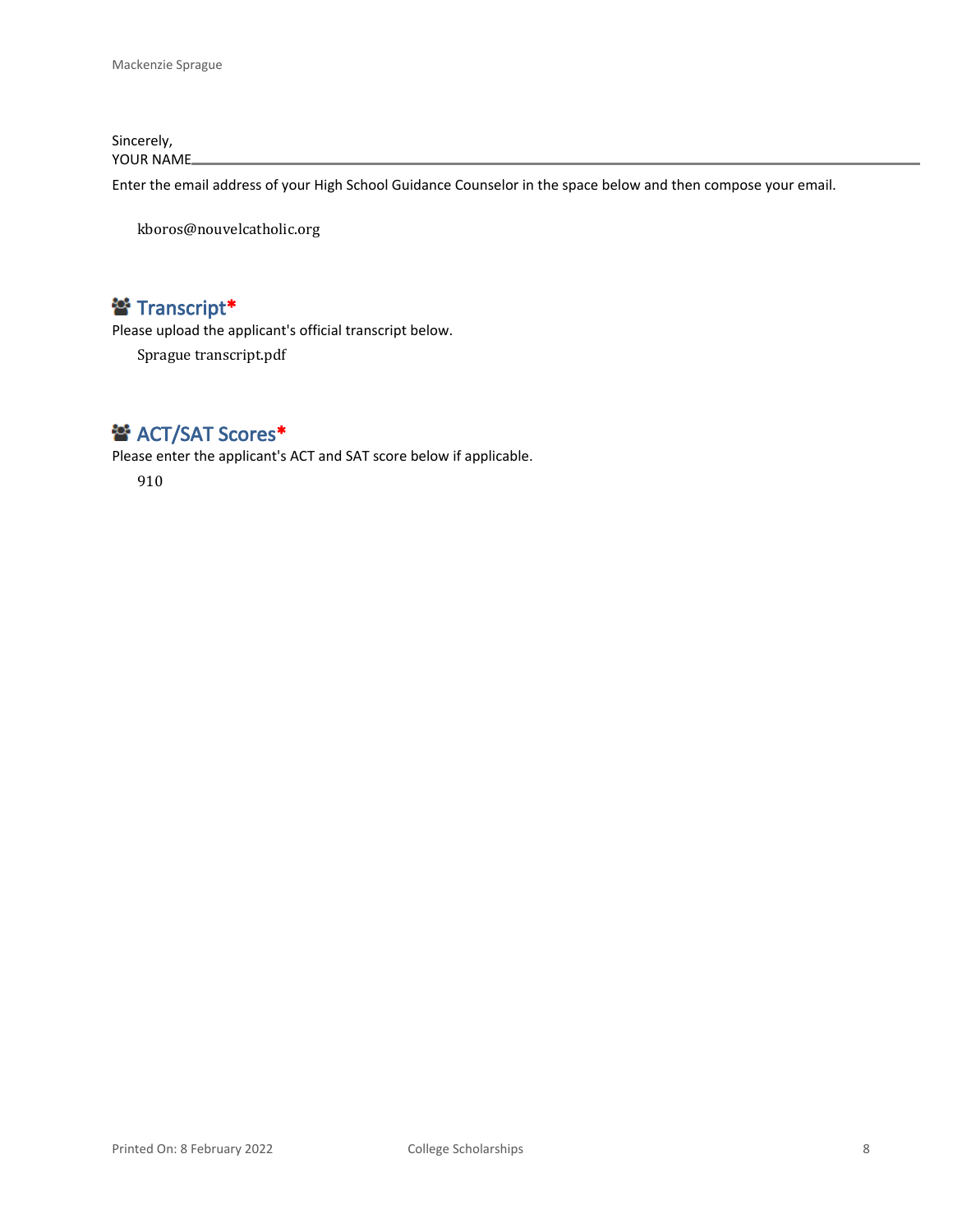Sincerely, YOUR NAME

Enter the email address of your High School Guidance Counselor in the space below and then compose your email.

kboros@nouvelcatholic.org

### **Transcript\***

Please upload the applicant's official transcript below.

Sprague transcript.pdf

### **<sup>2</sup>** ACT/SAT Scores\*

Please enter the applicant's ACT and SAT score below if applicable.

910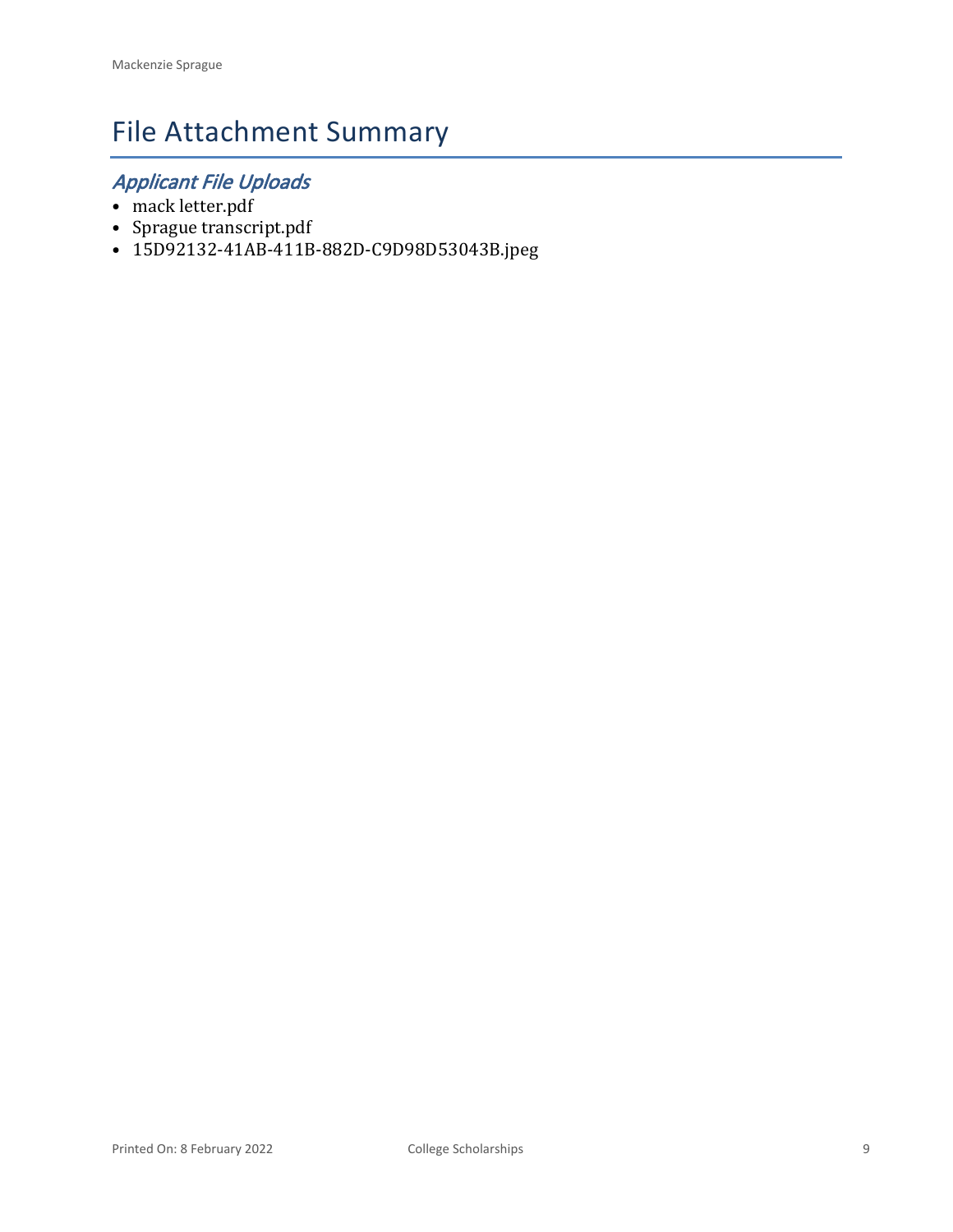# File Attachment Summary

## *Applicant File Uploads*

- mack letter.pdf
- Sprague transcript.pdf
- 15D92132-41AB-411B-882D-C9D98D53043B.jpeg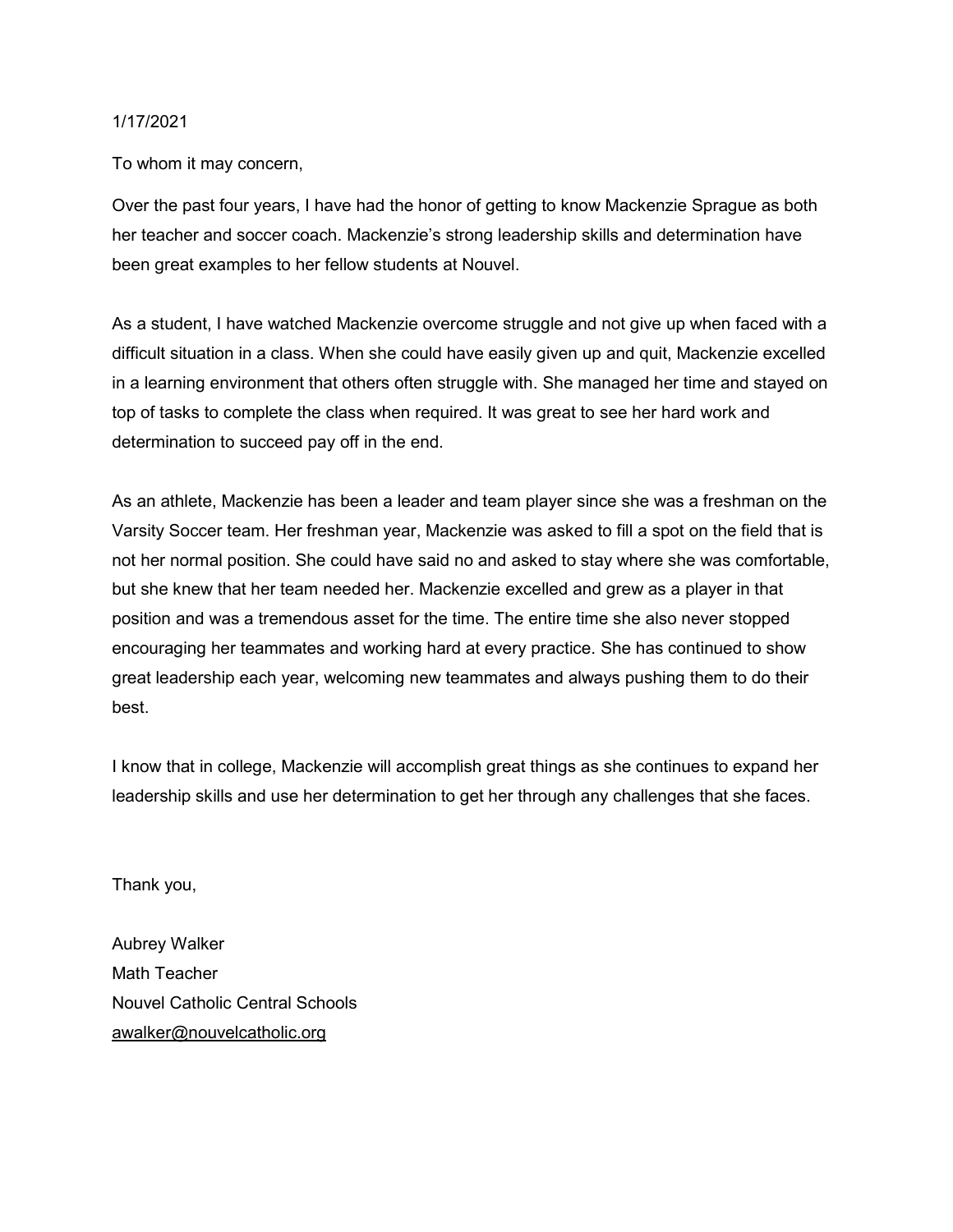#### 1/17/2021

To whom it may concern,

Over the past four years, I have had the honor of getting to know Mackenzie Sprague as both her teacher and soccer coach. Mackenzie's strong leadership skills and determination have been great examples to her fellow students at Nouvel.

As a student, I have watched Mackenzie overcome struggle and not give up when faced with a difficult situation in a class. When she could have easily given up and quit, Mackenzie excelled in a learning environment that others often struggle with. She managed her time and stayed on top of tasks to complete the class when required. It was great to see her hard work and determination to succeed pay off in the end.

As an athlete, Mackenzie has been a leader and team player since she was a freshman on the Varsity Soccer team. Her freshman year, Mackenzie was asked to fill a spot on the field that is not her normal position. She could have said no and asked to stay where she was comfortable, but she knew that her team needed her. Mackenzie excelled and grew as a player in that position and was a tremendous asset for the time. The entire time she also never stopped encouraging her teammates and working hard at every practice. She has continued to show great leadership each year, welcoming new teammates and always pushing them to do their best.

I know that in college, Mackenzie will accomplish great things as she continues to expand her leadership skills and use her determination to get her through any challenges that she faces.

Thank you,

Aubrey Walker Math Teacher Nouvel Catholic Central Schools awalker@nouvelcatholic.org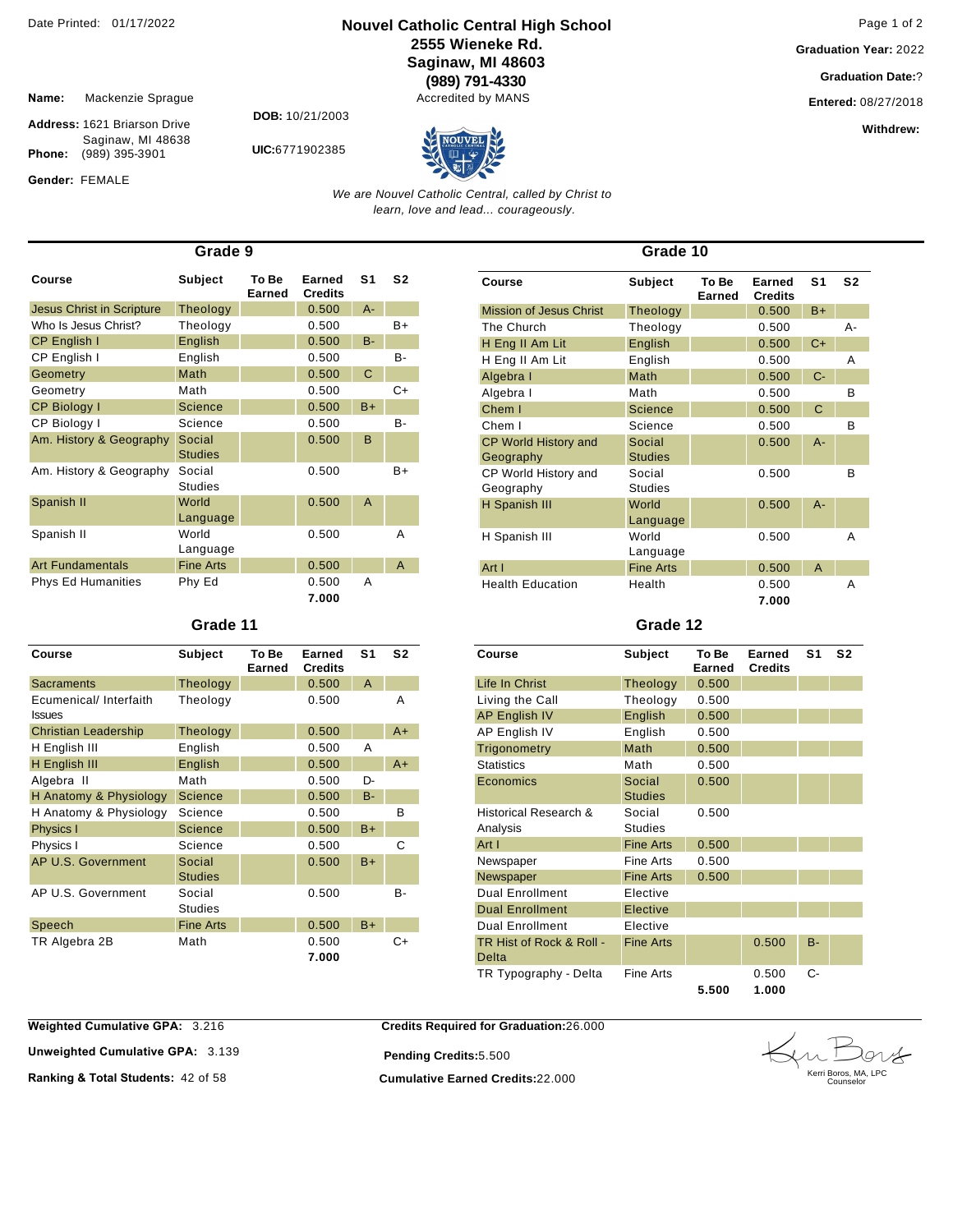#### **Nouvel Catholic Central High School** Date Printed: 01/17/2022 Page 1 of 2 **2555 Wieneke Rd. Saginaw, MI 48603 (989) 791-4330**

Accredited by MANS

**Graduation Year:** 2022

**Graduation Date:**?

**Entered:** 08/27/2018

**Withdrew:** 

**Name:** Mackenzie Sprague

Gender: FEMALE

**Address:** 1621 Briarson Drive Saginaw, MI 48638 **Phone:** (989) 395-3901

**DOB:** 10/21/2003

**UIC:**6771902385



*We are Nouvel Catholic Central, called by Christ to learn, love and lead... courageously.*

| Grade 9                          |                          |                 |                          |                |                |  |
|----------------------------------|--------------------------|-----------------|--------------------------|----------------|----------------|--|
| Course                           | <b>Subject</b>           | To Be<br>Earned | Earned<br><b>Credits</b> | S <sub>1</sub> | S <sub>2</sub> |  |
| <b>Jesus Christ in Scripture</b> | Theology                 |                 | 0.500                    | $A -$          |                |  |
| Who Is Jesus Christ?             | Theology                 |                 | 0.500                    |                | $B+$           |  |
| CP English I                     | English                  |                 | 0.500                    | $B -$          |                |  |
| CP English I                     | English                  |                 | 0.500                    |                | $B -$          |  |
| Geometry                         | Math                     |                 | 0.500                    | C              |                |  |
| Geometry                         | Math                     |                 | 0.500                    |                | C+             |  |
| <b>CP Biology I</b>              | Science                  |                 | 0.500                    | $B+$           |                |  |
| CP Biology I                     | Science                  |                 | 0.500                    |                | $B -$          |  |
| Am. History & Geography          | Social<br><b>Studies</b> |                 | 0.500                    | B              |                |  |
| Am. History & Geography          | Social<br><b>Studies</b> |                 | 0.500                    |                | $B+$           |  |
| Spanish II                       | World<br>Language        |                 | 0.500                    | A              |                |  |
| Spanish II                       | World<br>Language        |                 | 0.500                    |                | Α              |  |
| <b>Art Fundamentals</b>          | <b>Fine Arts</b>         |                 | 0.500                    |                | A              |  |
| <b>Phys Ed Humanities</b>        | Phy Ed                   |                 | 0.500<br>7.000           | Α              |                |  |

#### **Grade 11**

| Course                                  | <b>Subject</b>           | To Be<br>Earned | Earned<br><b>Credits</b> | S1    | S <sub>2</sub> |
|-----------------------------------------|--------------------------|-----------------|--------------------------|-------|----------------|
| Sacraments                              | Theology                 |                 | 0.500                    | A     |                |
| Ecumenical/ Interfaith<br><b>Issues</b> | Theology                 |                 | 0.500                    |       | Α              |
| <b>Christian Leadership</b>             | Theology                 |                 | 0.500                    |       | $A+$           |
| H English III                           | English                  |                 | 0.500                    | A     |                |
| H English III                           | English                  |                 | 0.500                    |       | $A+$           |
| Algebra II                              | Math                     |                 | 0.500                    | D-    |                |
| H Anatomy & Physiology                  | <b>Science</b>           |                 | 0.500                    | $B -$ |                |
| H Anatomy & Physiology                  | Science                  |                 | 0.500                    |       | B              |
| Physics I                               | <b>Science</b>           |                 | 0.500                    | $B+$  |                |
| Physics I                               | Science                  |                 | 0.500                    |       | C              |
| AP U.S. Government                      | Social<br><b>Studies</b> |                 | 0.500                    | $B+$  |                |
| AP U.S. Government                      | Social<br><b>Studies</b> |                 | 0.500                    |       | B-             |
| Speech                                  | <b>Fine Arts</b>         |                 | 0.500                    | $B+$  |                |
| TR Algebra 2B                           | Math                     |                 | 0.500<br>7.000           |       | C+             |

| Grade 10                                 |                          |                 |                          |                |                |  |
|------------------------------------------|--------------------------|-----------------|--------------------------|----------------|----------------|--|
| Course                                   | <b>Subject</b>           | To Be<br>Earned | Earned<br><b>Credits</b> | S <sub>1</sub> | S <sub>2</sub> |  |
| <b>Mission of Jesus Christ</b>           | Theology                 |                 | 0.500                    | $B+$           |                |  |
| The Church                               | Theology                 |                 | 0.500                    |                | А-             |  |
| H Eng II Am Lit                          | English                  |                 | 0.500                    | $C+$           |                |  |
| H Eng II Am Lit                          | English                  |                 | 0.500                    |                | Α              |  |
| Algebra I                                | Math                     |                 | 0.500                    | $C-$           |                |  |
| Algebra I                                | Math                     |                 | 0.500                    |                | в              |  |
| Chem I                                   | <b>Science</b>           |                 | 0.500                    | C              |                |  |
| Chem I                                   | Science                  |                 | 0.500                    |                | B              |  |
| <b>CP World History and</b><br>Geography | Social<br><b>Studies</b> |                 | 0.500                    | $A -$          |                |  |
| CP World History and<br>Geography        | Social<br><b>Studies</b> |                 | 0.500                    |                | B              |  |
| H Spanish III                            | World<br>Language        |                 | 0.500                    | $A -$          |                |  |
| H Spanish III                            | World<br>Language        |                 | 0.500                    |                | А              |  |
| Art I                                    | <b>Fine Arts</b>         |                 | 0.500                    | A              |                |  |
| <b>Health Education</b>                  | Health                   |                 | 0.500<br>7.000           |                | Α              |  |

#### **Grade 12**

| Course                            | Subject                  | To Be<br>Earned | Earned<br><b>Credits</b> | S <sub>1</sub> | S <sub>2</sub> |
|-----------------------------------|--------------------------|-----------------|--------------------------|----------------|----------------|
| Life In Christ                    | Theology                 | 0.500           |                          |                |                |
| Living the Call                   | Theology                 | 0.500           |                          |                |                |
| <b>AP English IV</b>              | English                  | 0.500           |                          |                |                |
| AP English IV                     | English                  | 0.500           |                          |                |                |
| Trigonometry                      | Math                     | 0.500           |                          |                |                |
| <b>Statistics</b>                 | Math                     | 0.500           |                          |                |                |
| Economics                         | Social<br><b>Studies</b> | 0.500           |                          |                |                |
| Historical Research &<br>Analysis | Social<br><b>Studies</b> | 0.500           |                          |                |                |
| Art I                             | <b>Fine Arts</b>         | 0.500           |                          |                |                |
| Newspaper                         | Fine Arts                | 0.500           |                          |                |                |
| Newspaper                         | <b>Fine Arts</b>         | 0.500           |                          |                |                |
| <b>Dual Enrollment</b>            | Elective                 |                 |                          |                |                |
| <b>Dual Enrollment</b>            | Elective                 |                 |                          |                |                |
| Dual Enrollment                   | <b>Flective</b>          |                 |                          |                |                |
| TR Hist of Rock & Roll -<br>Delta | <b>Fine Arts</b>         |                 | 0.500                    | <b>B-</b>      |                |
| TR Typography - Delta             | Fine Arts                | 5.500           | 0.500<br>1.000           | C-             |                |

**Weighted Cumulative GPA: 3.216** 

**Unweighted Cumulative GPA: 3.139** 

**Credits Required for Graduation:**26.000

**Pending Credits:**5.500

**Ranking & Total Students:** 42 of 58 **Cumulative Earned Credits:**22.000

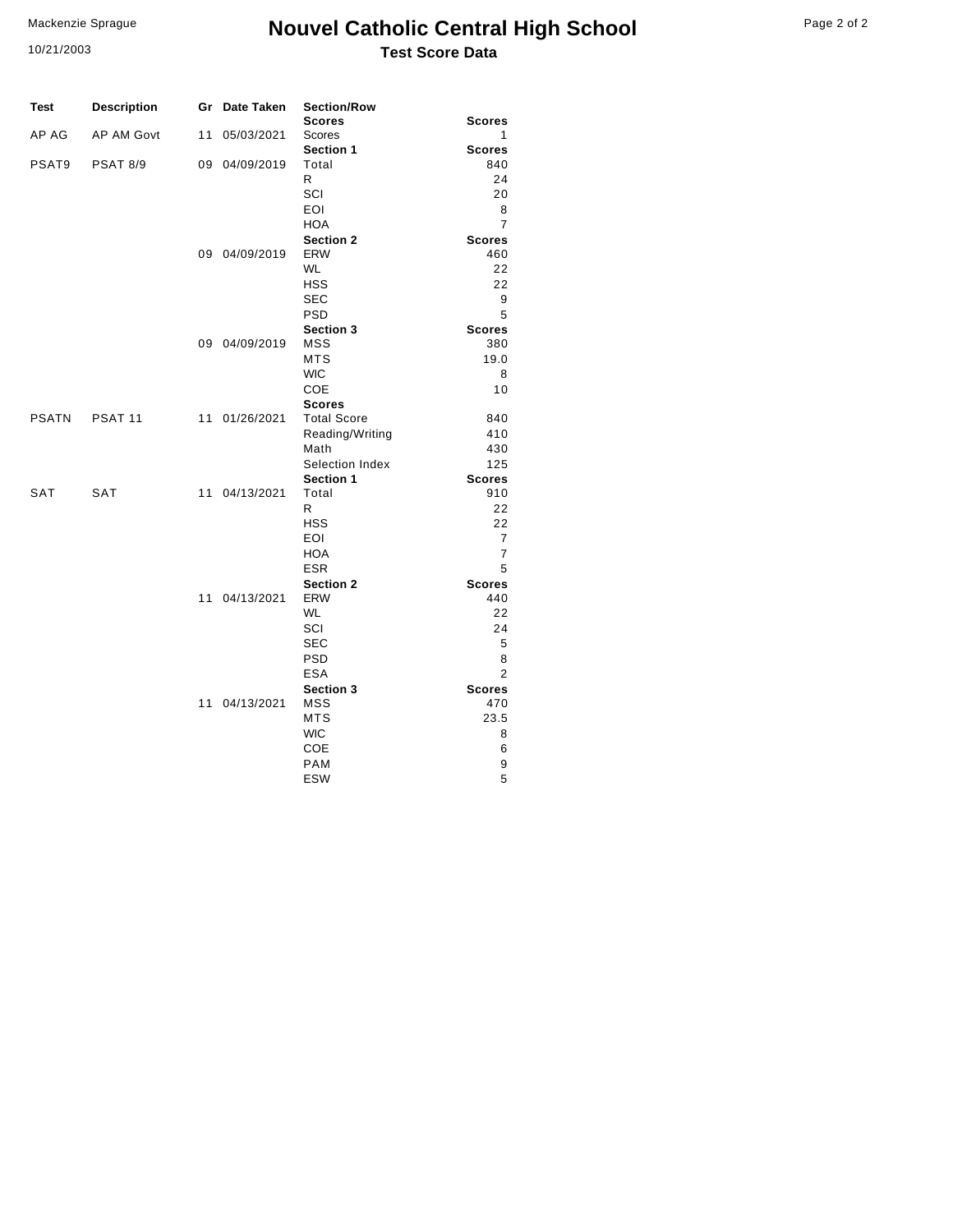#### Mackenzie Sprague

10/21/2003

### **Nouvel Catholic Central High School** Page 2 of 2 **Test Score Data**

| Test         | <b>Description</b> | Gr | Date Taken    | <b>Section/Row</b>             |                    |
|--------------|--------------------|----|---------------|--------------------------------|--------------------|
| AP AG        | <b>AP AM Govt</b>  | 11 | 05/03/2021    | <b>Scores</b><br>Scores        | <b>Scores</b><br>1 |
|              |                    |    |               | <b>Section 1</b>               | <b>Scores</b>      |
| PSAT9        | <b>PSAT 8/9</b>    | 09 | 04/09/2019    | Total                          | 840                |
|              |                    |    |               | R                              | 24                 |
|              |                    |    |               | SCI                            | 20                 |
|              |                    |    |               | EOI                            | 8                  |
|              |                    |    |               | <b>HOA</b>                     | $\overline{7}$     |
|              |                    |    |               | <b>Section 2</b>               | <b>Scores</b>      |
|              |                    | 09 | 04/09/2019    | ERW                            | 460                |
|              |                    |    |               | <b>WL</b>                      | 22                 |
|              |                    |    |               | <b>HSS</b>                     | 22                 |
|              |                    |    |               | <b>SEC</b>                     | 9                  |
|              |                    |    |               | <b>PSD</b>                     | 5                  |
|              |                    |    |               | <b>Section 3</b><br><b>MSS</b> | <b>Scores</b>      |
|              |                    |    | 09 04/09/2019 | MTS                            | 380<br>19.0        |
|              |                    |    |               | <b>WIC</b>                     | 8                  |
|              |                    |    |               | COE                            | 10                 |
|              |                    |    |               | <b>Scores</b>                  |                    |
| <b>PSATN</b> | PSAT <sub>11</sub> | 11 | 01/26/2021    | <b>Total Score</b>             | 840                |
|              |                    |    |               | Reading/Writing                | 410                |
|              |                    |    |               | Math                           | 430                |
|              |                    |    |               | Selection Index                | 125                |
|              |                    |    |               | Section 1                      | <b>Scores</b>      |
| <b>SAT</b>   | <b>SAT</b>         | 11 | 04/13/2021    | Total                          | 910                |
|              |                    |    |               | R                              | 22                 |
|              |                    |    |               | HSS                            | 22                 |
|              |                    |    |               | EOI                            | $\overline{7}$     |
|              |                    |    |               | <b>HOA</b>                     | 7                  |
|              |                    |    |               | <b>ESR</b>                     | 5                  |
|              |                    |    |               | <b>Section 2</b>               | <b>Scores</b>      |
|              |                    | 11 | 04/13/2021    | <b>ERW</b><br><b>WL</b>        | 440<br>22          |
|              |                    |    |               | SCI                            | 24                 |
|              |                    |    |               | <b>SEC</b>                     | 5                  |
|              |                    |    |               | <b>PSD</b>                     | 8                  |
|              |                    |    |               | <b>ESA</b>                     | $\overline{2}$     |
|              |                    |    |               | <b>Section 3</b>               | <b>Scores</b>      |
|              |                    |    | 11 04/13/2021 | MSS                            | 470                |
|              |                    |    |               | <b>MTS</b>                     | 23.5               |
|              |                    |    |               | <b>WIC</b>                     | 8                  |
|              |                    |    |               | <b>COE</b>                     | 6                  |
|              |                    |    |               | <b>PAM</b>                     | 9                  |
|              |                    |    |               | <b>ESW</b>                     | 5                  |